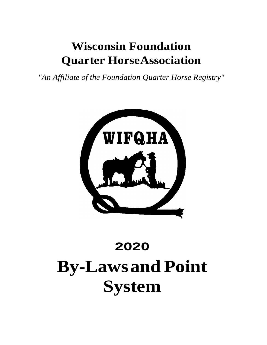## **Wisconsin Foundation Quarter HorseAssociation**

*"An Affiliate of the Foundation Quarter Horse Registry"*



# **2020 By-Lawsand Point System**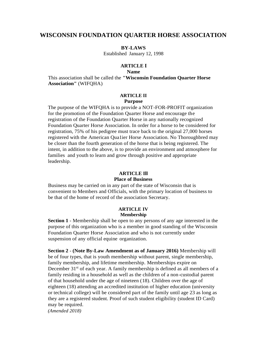#### **WISCONSIN FOUNDATION QUARTER HORSE ASSOCIATION**

#### **BY-LAWS**

Established January 12, 1998

#### **ARTICLE I**

#### **Name**

This association shall be called the **"Wisconsin Foundation Quarter Horse Association"** (WIFQHA)

#### **ARTICLE II**

#### **Purpose**

The purpose of the WIFQHA is to provide a NOT-FOR-PROFIT organization for the promotion of the Foundation Quarter Horse and encourage the registration of the Foundation Quarter Horse in any nationally recognized Foundation Quarter Horse Association. In order for a horse to be considered for registration, 75% of his pedigree must trace back to the original 27,000 horses registered with the American Qua1ier Horse Association. No Thoroughbred may be closer than the fourth generation of the horse that is being registered. The intent, in addition to the above, is to provide an environment and atmosphere for families and youth to learn and grow through positive and appropriate leadership.

#### **ARTICLE Ill**

#### **Place of Business**

Business may be carried on in any part of the state of Wisconsin that is convenient to Members and Officials, with the primary location of business to be that of the home of record of the association Secretary.

#### **ARTICLE IV Membership**

**Section 1** - Membership shall be open to any persons of any age interested in the purpose of this organization who is a member in good standing of the Wisconsin Foundation Quarter Horse Association and who is not currently under suspension of any official equine organization.

**Section 2** - **(Note By-Law Amendment as of January 2016)** Membership will be of four types, that is youth membership without parent, single membership, family membership, and lifetime membership. Memberships expire on December  $31<sup>st</sup>$  of each year. A family membership is defined as all members of a family residing in a household as well as the children of a non-custodial parent of that household under the age of nineteen (18). Children over the age of eighteen (18) attending an accredited institution of higher education (university or technical college) will be considered part of the family until age 23 as long as they are a registered student. Proof of such student eligibility (student ID Card) may be required.

*(Amended 2018)*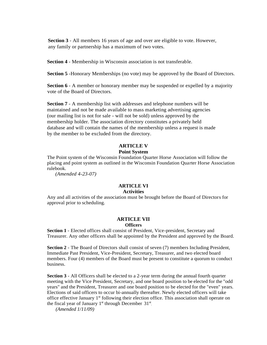**Section 3** - All members 16 years of age and over are eligible to vote. However, any family or partnership has a maximum of two votes.

**Section 4** - Membership in Wisconsin association is not transferable.

**Section 5** -Honorary Memberships (no vote) may be approved by the Board of Directors.

**Section 6** - A member or honorary member may be suspended or expelled by a majority vote of the Board of Directors.

**Section 7** - A membership list with addresses and telephone numbers will be maintained and not be made available to mass marketing advertising agencies (our mailing list is not for sale - will not be sold) unless approved by the membership holder. The association directory constitutes a privately held database and will contain the names of the membership unless a request is made by the member to be excluded from the directory.

#### **ARTICLE V Point System**

The Point system of the Wisconsin Foundation Quarter Horse Association will follow the placing and point system as outlined in the Wisconsin Foundation Quarter Horse Association rulebook.

*(Amended 4-23-07)*

#### **ARTICLE VI Activities**

Any and all activities of the association must be brought before the Board of Directors for approval prior to scheduling.

#### **ARTICLE VII Officers**

**Section 1** - Elected offices shall consist of President, Vice-president, Secretary and Treasurer. Any other officers shall be appointed by the President and approved by the Board.

**Section 2** - The Board of Directors shall consist of seven (7) members Including President, Immediate Past President, Vice-President, Secretary, Treasurer, and two elected board members. Four (4) members of the Board must be present to constitute a quorum to conduct business.

**Section 3** - All Officers shall be elected to a 2-year term during the annual fourth quarter meeting with the Vice President, Secretary, and one board position to be elected for the "odd years" and the President, Treasurer and one board position to be elected for the "even" years. Elections of said officers to occur bi-annually thereafter. Newly elected officers will take office effective January  $1<sup>st</sup>$  following their election office. This association shall operate on the fiscal year of January 1<sup>st</sup> through December 31<sup>st</sup>.

*(Amended 1/11/09)*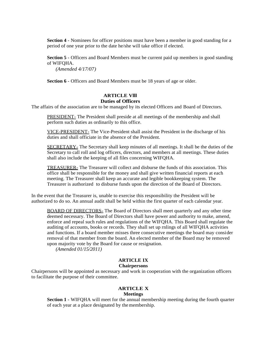**Section 4** - Nominees for officer positions must have been a member in good standing for a period of one year prior to the date he/she will take office if elected.

**Section 5** - Officers and Board Members must be current paid up members in good standing of WIFQHA.

*(Amended 4/17/07)*

**Section 6** - Officers and Board Members must be 18 years of age or older.

#### **ARTICLE Vlll Duties of Officers**

The affairs of the association are to be managed by its elected Officers and Board of Directors.

PRESIDENT- The President shall preside at all meetings of the membership and shall perform such duties as ordinarily to this office.

VICE-PRESIDENT- The Vice-President shall assist the President in the discharge of his duties and shall officiate in the absence of the President.

SECRETARY- The Secretary shall keep minutes of all meetings. It shall be the duties of the Secretary to call roll and log officers, directors, and members at all meetings. These duties shall also include the keeping of all files concerning WIFQHA.

TREASURER- The Treasurer will collect and disburse the funds of this association. This office shall be responsible for the money and shall give written financial reports at each meeting. The Treasurer shall keep an accurate and legible bookkeeping system. The Treasurer is authorized to disburse funds upon the direction of the Board of Directors.

In the event that the Treasurer is, unable to exercise this responsibility the President will be authorized to do so. An annual audit shall be held within the first quarter of each calendar year.

BOARD OF DIRECTORS- The Board of Directors shall meet quarterly and any other time deemed necessary. The Board of Directors shall have power and authority to make, amend, enforce and repeal such rules and regulations of the WIFQHA. This Board shall regulate the auditing of accounts, books or records. They shall set up rnlings of all WIFQHA activities and functions. If a board member misses three consecutive meetings the board may consider removal of that member from the board. An elected member of the Board may be removed upon majority vote by the Board for cause or resignation.

*(Amended 01/15/2011)*

#### **ARTICLE IX Chairpersons**

Chairpersons will be appointed as necessary and work in cooperation with the organization officers to facilitate the purpose of their committee.

#### **ARTICLE X Meetings**

**Section 1** - WIFQHA will meet for the annual membership meeting during the fourth quarter of each year at a place designated by themembership.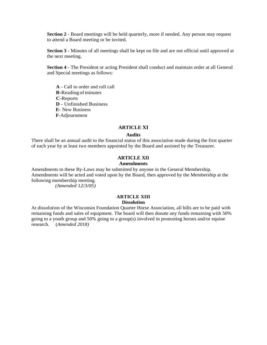**Section 2** - Board meetings will be held quarterly, more if needed. Any person may request to attend a Board meeting or be invited.

**Section 3** - Minutes of all meetings shall be kept on file and are not official until approved at the next meeting.

**Section 4** - The President or acting President shall conduct and maintain order at all General and Special meetings as follows:

**A** - Call to order and roll call **B**-Reading of minutes **C**-Reports **D** - Unfinished Business **E-** New Business **F**-Adjournment

#### **ARTICLE XI**

#### **Audits**

There shall be an annual audit to the financial status of this association made during the first quarter of each year by at least two members appointed by the Board and assisted by the Treasurer.

#### **ARTICLE XII**

#### **Amendments**

Amendments to these By-Laws may be submitted by anyone in the General Membership. Amendments will be acted and voted upon by the Board, then approved by the Membership at the following membership meeting.

*(Amended 12/3/05)*

#### **ARTICLE XIII Dissolution**

At dissolution of the Wisconsin Foundation Quarter Horse Association, all bills are to be paid with remaining funds and sales of equipment. The board will then donate any funds remaining with 50% going to a youth group and 50% going to a group(s) involved in promoting horses and/or equine research. (*Amended 2018)*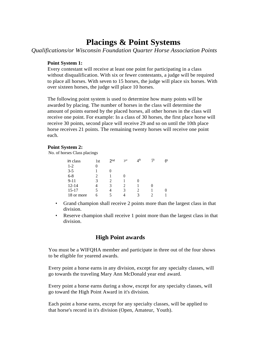### **Placings & Point Systems**

*Qualifications/or Wisconsin Foundation Quarter Horse Association Points*

#### **Point System 1:**

Every contestant will receive at least one point for participating in a class without disqualification. With six or fewer contestants, a judge will be required to place all horses. With seven to 15 horses, the judge will place six horses. With over sixteen horses, the judge will place 10 horses.

The following point system is used to determine how many points will be awarded by placing. The number of horses in the class will determine the amount of points earned by the placed horses, all other horses in the class will receive one point. For example: In a class of 30 horses, the first place horse will receive 30 points, second place will receive 29 and so on until the 10th place horse receives 21 points. The remaining twenty horses will receive one point each.

#### **Point System 2:**

No. of horses Class placings

| in class   | 1st | 2 <sub>nd</sub> | 3rd | 4 <sup>th</sup> | 5 | 6 <sup>th</sup> |
|------------|-----|-----------------|-----|-----------------|---|-----------------|
| $1-2$      |     |                 |     |                 |   |                 |
| $3 - 5$    |     |                 |     |                 |   |                 |
| $6 - 8$    |     |                 |     |                 |   |                 |
| $9 - 11$   | 3   |                 |     |                 |   |                 |
| $12 - 14$  |     | 3               |     |                 |   |                 |
| $15 - 17$  |     |                 | 3   |                 |   |                 |
| 18 or more | h   |                 |     | 3               |   |                 |

- Grand champion shall receive 2 points more than the largest class in that division.
- Reserve champion shall receive 1 point more than the largest class in that division.

#### **High Point awards**

You must be a WIFQHA member and participate in three out of the four shows to be eligible for yearend awards.

Every point a horse earns in any division, except for any specialty classes, will go towards the traveling Mary Ann McDonald year end award.

Every point a horse earns during a show, except for any specialty classes, will go toward the High Point Award in it's division.

Each point a horse earns, except for any specialty classes, will be applied to that horse's record in it's division (Open, Amateur, Youth).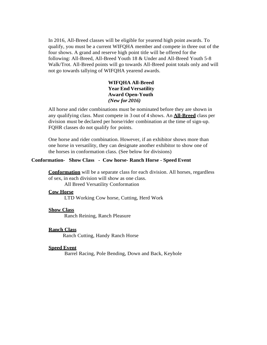In 2016, All-Breed classes will be eligible for yearend high point awards. To qualify, you must be a current WIFQHA member and compete in three out of the four shows. A grand and reserve high point title will be offered for the following: All-Breed, All-Breed Youth 18 & Under and All-Breed Youth 5-8 Walk/Trot. All-Breed points will go towards All-Breed point totals only and will not go towards tallying of WIFQHA yearend awards.

#### **WIFQHA All-Breed Year End Versatility Award Open-Youth** *(New for 2016)*

All horse and rider combinations must be nominated before they are shown in any qualifying class. Must compete in 3 out of 4 shows. An **All-Breed** class per division must be declared per horse/rider combination at the time of sign-up. FQHR classes do not qualify for points.

One horse and rider combination. However, if an exhibitor shows more than one horse in versatility, they can designate another exhibitor to show one of the horses in conformation class. (See below for divisions)

#### **Conformation- Show Class - Cow horse- Ranch Horse - Speed Event**

**Conformation** will be a separate class for each division. All horses, regardless of sex, in each division will show as one class.

All Breed Versatility Conformation

#### **Cow Horse**

LTD Working Cow horse, Cutting, Herd Work

#### **Show Class**

Ranch Reining, Ranch Pleasure

#### **Ranch Class**

Ranch Cutting, Handy Ranch Horse

#### **Speed Event**

Barrel Racing, Pole Bending, Down and Back, Keyhole